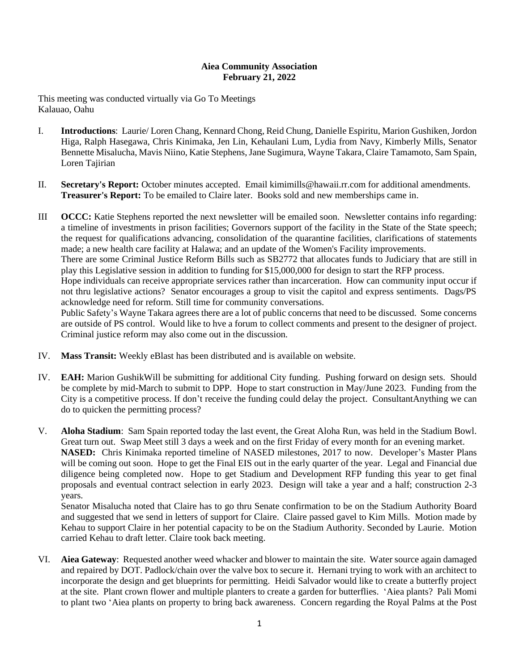## **Aiea Community Association February 21, 2022**

This meeting was conducted virtually via Go To Meetings Kalauao, Oahu

- I. **Introductions**: Laurie/ Loren Chang, Kennard Chong, Reid Chung, Danielle Espiritu, Marion Gushiken, Jordon Higa, Ralph Hasegawa, Chris Kinimaka, Jen Lin, Kehaulani Lum, Lydia from Navy, Kimberly Mills, Senator Bennette Misalucha, Mavis Niino, Katie Stephens, Jane Sugimura, Wayne Takara, Claire Tamamoto, Sam Spain, Loren Tajirian
- II. **Secretary's Report:** October minutes accepted. Email kimimills@hawaii.rr.com for additional amendments. **Treasurer's Report:** To be emailed to Claire later. Books sold and new memberships came in.

III **OCCC:** Katie Stephens reported the next newsletter will be emailed soon. Newsletter contains info regarding: a timeline of investments in prison facilities; Governors support of the facility in the State of the State speech; the request for qualifications advancing, consolidation of the quarantine facilities, clarifications of statements made; a new health care facility at Halawa; and an update of the Women's Facility improvements. There are some Criminal Justice Reform Bills such as SB2772 that allocates funds to Judiciary that are still in play this Legislative session in addition to funding for \$15,000,000 for design to start the RFP process. Hope individuals can receive appropriate services rather than incarceration. How can community input occur if not thru legislative actions? Senator encourages a group to visit the capitol and express sentiments. Dags/PS acknowledge need for reform. Still time for community conversations. Public Safety's Wayne Takara agrees there are a lot of public concerns that need to be discussed. Some concerns

are outside of PS control. Would like to hve a forum to collect comments and present to the designer of project. Criminal justice reform may also come out in the discussion.

- IV. **Mass Transit:** Weekly eBlast has been distributed and is available on website.
- IV. **EAH:** Marion GushikWill be submitting for additional City funding. Pushing forward on design sets. Should be complete by mid-March to submit to DPP. Hope to start construction in May/June 2023. Funding from the City is a competitive process. If don't receive the funding could delay the project. ConsultantAnything we can do to quicken the permitting process?
- V. **Aloha Stadium**: Sam Spain reported today the last event, the Great Aloha Run, was held in the Stadium Bowl. Great turn out. Swap Meet still 3 days a week and on the first Friday of every month for an evening market. **NASED:** Chris Kinimaka reported timeline of NASED milestones, 2017 to now. Developer's Master Plans will be coming out soon. Hope to get the Final EIS out in the early quarter of the year. Legal and Financial due diligence being completed now. Hope to get Stadium and Development RFP funding this year to get final proposals and eventual contract selection in early 2023. Design will take a year and a half; construction 2-3 years.

Senator Misalucha noted that Claire has to go thru Senate confirmation to be on the Stadium Authority Board and suggested that we send in letters of support for Claire. Claire passed gavel to Kim Mills. Motion made by Kehau to support Claire in her potential capacity to be on the Stadium Authority. Seconded by Laurie. Motion carried Kehau to draft letter. Claire took back meeting.

VI. **Aiea Gateway**: Requested another weed whacker and blower to maintain the site. Water source again damaged and repaired by DOT. Padlock/chain over the valve box to secure it. Hernani trying to work with an architect to incorporate the design and get blueprints for permitting. Heidi Salvador would like to create a butterfly project at the site. Plant crown flower and multiple planters to create a garden for butterflies. ʻAiea plants? Pali Momi to plant two ʻAiea plants on property to bring back awareness. Concern regarding the Royal Palms at the Post